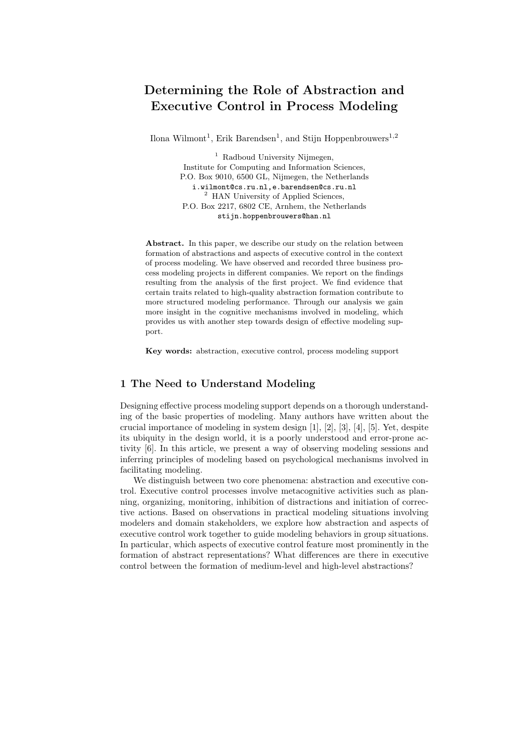# Determining the Role of Abstraction and Executive Control in Process Modeling

Ilona Wilmont<sup>1</sup>, Erik Barendsen<sup>1</sup>, and Stijn Hoppenbrouwers<sup>1,2</sup>

 $<sup>1</sup>$  Radboud University Nijmegen,</sup> Institute for Computing and Information Sciences, P.O. Box 9010, 6500 GL, Nijmegen, the Netherlands i.wilmont@cs.ru.nl,e.barendsen@cs.ru.nl <sup>2</sup> HAN University of Applied Sciences, P.O. Box 2217, 6802 CE, Arnhem, the Netherlands stijn.hoppenbrouwers@han.nl

Abstract. In this paper, we describe our study on the relation between formation of abstractions and aspects of executive control in the context of process modeling. We have observed and recorded three business process modeling projects in different companies. We report on the findings resulting from the analysis of the first project. We find evidence that certain traits related to high-quality abstraction formation contribute to more structured modeling performance. Through our analysis we gain more insight in the cognitive mechanisms involved in modeling, which provides us with another step towards design of effective modeling support.

Key words: abstraction, executive control, process modeling support

# 1 The Need to Understand Modeling

Designing effective process modeling support depends on a thorough understanding of the basic properties of modeling. Many authors have written about the crucial importance of modeling in system design [1], [2], [3], [4], [5]. Yet, despite its ubiquity in the design world, it is a poorly understood and error-prone activity [6]. In this article, we present a way of observing modeling sessions and inferring principles of modeling based on psychological mechanisms involved in facilitating modeling.

We distinguish between two core phenomena: abstraction and executive control. Executive control processes involve metacognitive activities such as planning, organizing, monitoring, inhibition of distractions and initiation of corrective actions. Based on observations in practical modeling situations involving modelers and domain stakeholders, we explore how abstraction and aspects of executive control work together to guide modeling behaviors in group situations. In particular, which aspects of executive control feature most prominently in the formation of abstract representations? What differences are there in executive control between the formation of medium-level and high-level abstractions?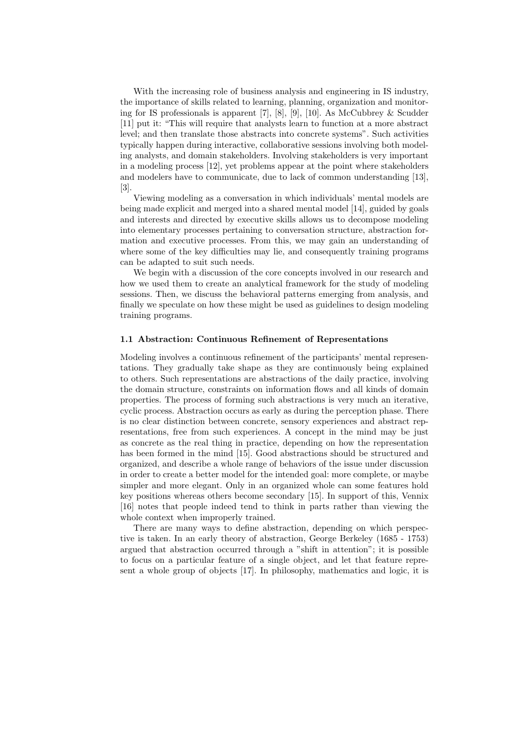With the increasing role of business analysis and engineering in IS industry, the importance of skills related to learning, planning, organization and monitoring for IS professionals is apparent [7], [8], [9], [10]. As McCubbrey & Scudder [11] put it: "This will require that analysts learn to function at a more abstract level; and then translate those abstracts into concrete systems". Such activities typically happen during interactive, collaborative sessions involving both modeling analysts, and domain stakeholders. Involving stakeholders is very important in a modeling process [12], yet problems appear at the point where stakeholders and modelers have to communicate, due to lack of common understanding [13],  $[3]$ 

Viewing modeling as a conversation in which individuals' mental models are being made explicit and merged into a shared mental model [14], guided by goals and interests and directed by executive skills allows us to decompose modeling into elementary processes pertaining to conversation structure, abstraction formation and executive processes. From this, we may gain an understanding of where some of the key difficulties may lie, and consequently training programs can be adapted to suit such needs.

We begin with a discussion of the core concepts involved in our research and how we used them to create an analytical framework for the study of modeling sessions. Then, we discuss the behavioral patterns emerging from analysis, and finally we speculate on how these might be used as guidelines to design modeling training programs.

### 1.1 Abstraction: Continuous Refinement of Representations

Modeling involves a continuous refinement of the participants' mental representations. They gradually take shape as they are continuously being explained to others. Such representations are abstractions of the daily practice, involving the domain structure, constraints on information flows and all kinds of domain properties. The process of forming such abstractions is very much an iterative, cyclic process. Abstraction occurs as early as during the perception phase. There is no clear distinction between concrete, sensory experiences and abstract representations, free from such experiences. A concept in the mind may be just as concrete as the real thing in practice, depending on how the representation has been formed in the mind [15]. Good abstractions should be structured and organized, and describe a whole range of behaviors of the issue under discussion in order to create a better model for the intended goal: more complete, or maybe simpler and more elegant. Only in an organized whole can some features hold key positions whereas others become secondary [15]. In support of this, Vennix [16] notes that people indeed tend to think in parts rather than viewing the whole context when improperly trained.

There are many ways to define abstraction, depending on which perspective is taken. In an early theory of abstraction, George Berkeley (1685 - 1753) argued that abstraction occurred through a "shift in attention"; it is possible to focus on a particular feature of a single object, and let that feature represent a whole group of objects [17]. In philosophy, mathematics and logic, it is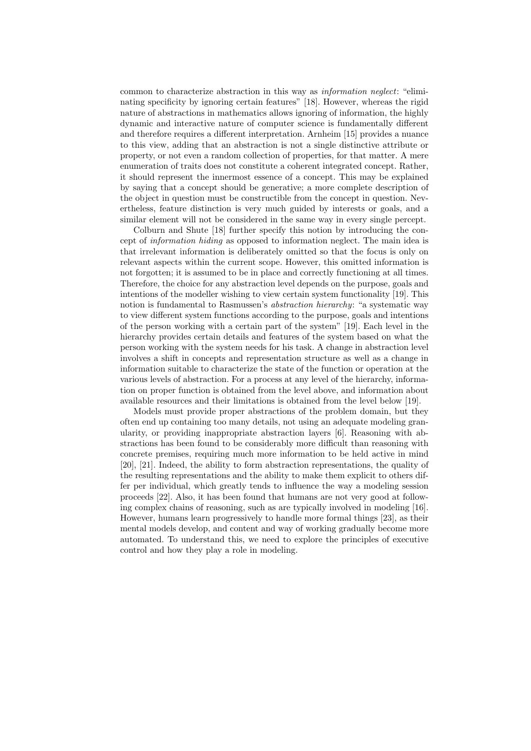common to characterize abstraction in this way as information neglect: "eliminating specificity by ignoring certain features" [18]. However, whereas the rigid nature of abstractions in mathematics allows ignoring of information, the highly dynamic and interactive nature of computer science is fundamentally different and therefore requires a different interpretation. Arnheim [15] provides a nuance to this view, adding that an abstraction is not a single distinctive attribute or property, or not even a random collection of properties, for that matter. A mere enumeration of traits does not constitute a coherent integrated concept. Rather, it should represent the innermost essence of a concept. This may be explained by saying that a concept should be generative; a more complete description of the object in question must be constructible from the concept in question. Nevertheless, feature distinction is very much guided by interests or goals, and a similar element will not be considered in the same way in every single percept.

Colburn and Shute [18] further specify this notion by introducing the concept of information hiding as opposed to information neglect. The main idea is that irrelevant information is deliberately omitted so that the focus is only on relevant aspects within the current scope. However, this omitted information is not forgotten; it is assumed to be in place and correctly functioning at all times. Therefore, the choice for any abstraction level depends on the purpose, goals and intentions of the modeller wishing to view certain system functionality [19]. This notion is fundamental to Rasmussen's *abstraction hierarchy*: "a systematic way to view different system functions according to the purpose, goals and intentions of the person working with a certain part of the system" [19]. Each level in the hierarchy provides certain details and features of the system based on what the person working with the system needs for his task. A change in abstraction level involves a shift in concepts and representation structure as well as a change in information suitable to characterize the state of the function or operation at the various levels of abstraction. For a process at any level of the hierarchy, information on proper function is obtained from the level above, and information about available resources and their limitations is obtained from the level below [19].

Models must provide proper abstractions of the problem domain, but they often end up containing too many details, not using an adequate modeling granularity, or providing inappropriate abstraction layers [6]. Reasoning with abstractions has been found to be considerably more difficult than reasoning with concrete premises, requiring much more information to be held active in mind [20], [21]. Indeed, the ability to form abstraction representations, the quality of the resulting representations and the ability to make them explicit to others differ per individual, which greatly tends to influence the way a modeling session proceeds [22]. Also, it has been found that humans are not very good at following complex chains of reasoning, such as are typically involved in modeling [16]. However, humans learn progressively to handle more formal things [23], as their mental models develop, and content and way of working gradually become more automated. To understand this, we need to explore the principles of executive control and how they play a role in modeling.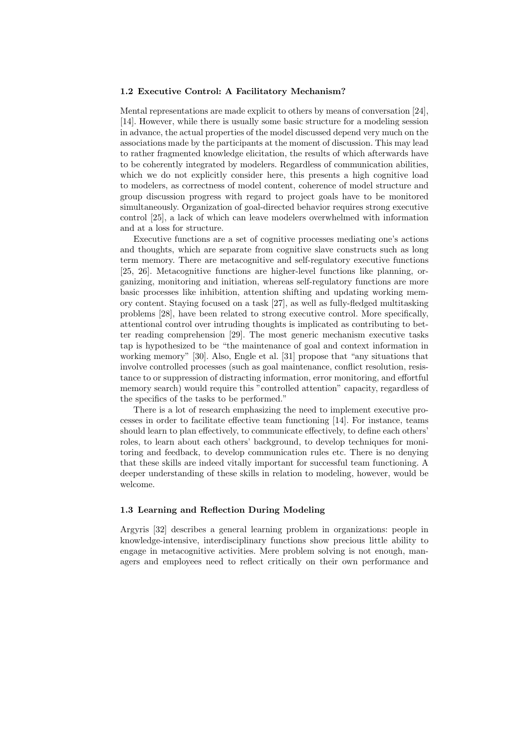## 1.2 Executive Control: A Facilitatory Mechanism?

Mental representations are made explicit to others by means of conversation [24], [14]. However, while there is usually some basic structure for a modeling session in advance, the actual properties of the model discussed depend very much on the associations made by the participants at the moment of discussion. This may lead to rather fragmented knowledge elicitation, the results of which afterwards have to be coherently integrated by modelers. Regardless of communication abilities, which we do not explicitly consider here, this presents a high cognitive load to modelers, as correctness of model content, coherence of model structure and group discussion progress with regard to project goals have to be monitored simultaneously. Organization of goal-directed behavior requires strong executive control [25], a lack of which can leave modelers overwhelmed with information and at a loss for structure.

Executive functions are a set of cognitive processes mediating one's actions and thoughts, which are separate from cognitive slave constructs such as long term memory. There are metacognitive and self-regulatory executive functions [25, 26]. Metacognitive functions are higher-level functions like planning, organizing, monitoring and initiation, whereas self-regulatory functions are more basic processes like inhibition, attention shifting and updating working memory content. Staying focused on a task [27], as well as fully-fledged multitasking problems [28], have been related to strong executive control. More specifically, attentional control over intruding thoughts is implicated as contributing to better reading comprehension [29]. The most generic mechanism executive tasks tap is hypothesized to be "the maintenance of goal and context information in working memory" [30]. Also, Engle et al. [31] propose that "any situations that involve controlled processes (such as goal maintenance, conflict resolution, resistance to or suppression of distracting information, error monitoring, and effortful memory search) would require this "controlled attention" capacity, regardless of the specifics of the tasks to be performed."

There is a lot of research emphasizing the need to implement executive processes in order to facilitate effective team functioning [14]. For instance, teams should learn to plan effectively, to communicate effectively, to define each others' roles, to learn about each others' background, to develop techniques for monitoring and feedback, to develop communication rules etc. There is no denying that these skills are indeed vitally important for successful team functioning. A deeper understanding of these skills in relation to modeling, however, would be welcome.

#### 1.3 Learning and Reflection During Modeling

Argyris [32] describes a general learning problem in organizations: people in knowledge-intensive, interdisciplinary functions show precious little ability to engage in metacognitive activities. Mere problem solving is not enough, managers and employees need to reflect critically on their own performance and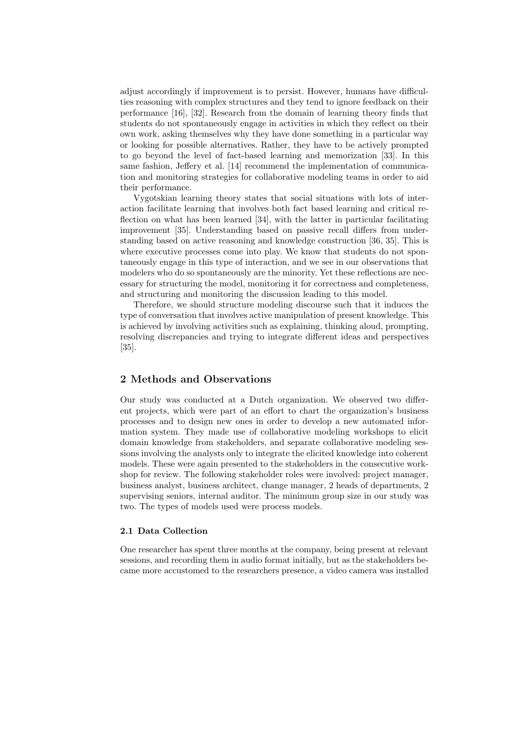adjust accordingly if improvement is to persist. However, humans have difficulties reasoning with complex structures and they tend to ignore feedback on their performance [16], [32]. Research from the domain of learning theory finds that students do not spontaneously engage in activities in which they reflect on their own work, asking themselves why they have done something in a particular way or looking for possible alternatives. Rather, they have to be actively prompted to go beyond the level of fact-based learning and memorization [33]. In this same fashion, Jeffery et al. [14] recommend the implementation of communication and monitoring strategies for collaborative modeling teams in order to aid their performance.

Vygotskian learning theory states that social situations with lots of interaction facilitate learning that involves both fact based learning and critical reflection on what has been learned [34], with the latter in particular facilitating improvement [35]. Understanding based on passive recall differs from understanding based on active reasoning and knowledge construction [36, 35]. This is where executive processes come into play. We know that students do not spontaneously engage in this type of interaction, and we see in our observations that modelers who do so spontaneously are the minority. Yet these reflections are necessary for structuring the model, monitoring it for correctness and completeness, and structuring and monitoring the discussion leading to this model.

Therefore, we should structure modeling discourse such that it induces the type of conversation that involves active manipulation of present knowledge. This is achieved by involving activities such as explaining, thinking aloud, prompting, resolving discrepancies and trying to integrate different ideas and perspectives [35].

## 2 Methods and Observations

Our study was conducted at a Dutch organization. We observed two different projects, which were part of an effort to chart the organization's business processes and to design new ones in order to develop a new automated information system. They made use of collaborative modeling workshops to elicit domain knowledge from stakeholders, and separate collaborative modeling sessions involving the analysts only to integrate the elicited knowledge into coherent models. These were again presented to the stakeholders in the consecutive workshop for review. The following stakeholder roles were involved: project manager, business analyst, business architect, change manager, 2 heads of departments, 2 supervising seniors, internal auditor. The minimum group size in our study was two. The types of models used were process models.

## 2.1 Data Collection

One researcher has spent three months at the company, being present at relevant sessions, and recording them in audio format initially, but as the stakeholders became more accustomed to the researchers presence, a video camera was installed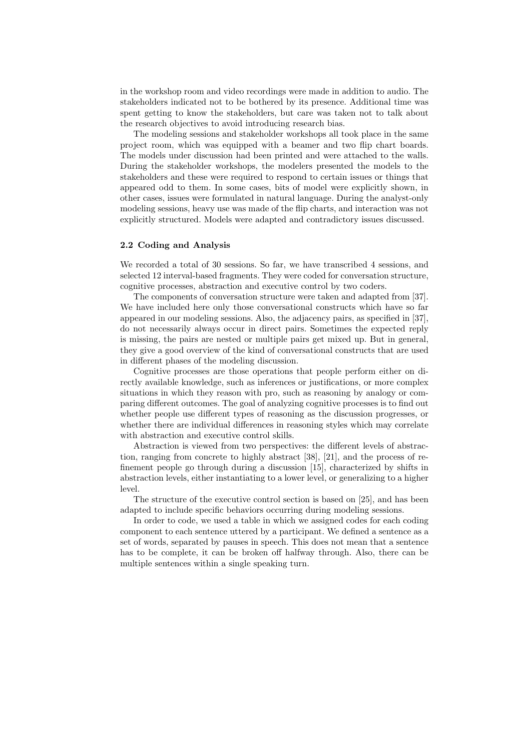in the workshop room and video recordings were made in addition to audio. The stakeholders indicated not to be bothered by its presence. Additional time was spent getting to know the stakeholders, but care was taken not to talk about the research objectives to avoid introducing research bias.

The modeling sessions and stakeholder workshops all took place in the same project room, which was equipped with a beamer and two flip chart boards. The models under discussion had been printed and were attached to the walls. During the stakeholder workshops, the modelers presented the models to the stakeholders and these were required to respond to certain issues or things that appeared odd to them. In some cases, bits of model were explicitly shown, in other cases, issues were formulated in natural language. During the analyst-only modeling sessions, heavy use was made of the flip charts, and interaction was not explicitly structured. Models were adapted and contradictory issues discussed.

#### 2.2 Coding and Analysis

We recorded a total of 30 sessions. So far, we have transcribed 4 sessions, and selected 12 interval-based fragments. They were coded for conversation structure, cognitive processes, abstraction and executive control by two coders.

The components of conversation structure were taken and adapted from [37]. We have included here only those conversational constructs which have so far appeared in our modeling sessions. Also, the adjacency pairs, as specified in [37], do not necessarily always occur in direct pairs. Sometimes the expected reply is missing, the pairs are nested or multiple pairs get mixed up. But in general, they give a good overview of the kind of conversational constructs that are used in different phases of the modeling discussion.

Cognitive processes are those operations that people perform either on directly available knowledge, such as inferences or justifications, or more complex situations in which they reason with pro, such as reasoning by analogy or comparing different outcomes. The goal of analyzing cognitive processes is to find out whether people use different types of reasoning as the discussion progresses, or whether there are individual differences in reasoning styles which may correlate with abstraction and executive control skills.

Abstraction is viewed from two perspectives: the different levels of abstraction, ranging from concrete to highly abstract [38], [21], and the process of refinement people go through during a discussion [15], characterized by shifts in abstraction levels, either instantiating to a lower level, or generalizing to a higher level.

The structure of the executive control section is based on [25], and has been adapted to include specific behaviors occurring during modeling sessions.

In order to code, we used a table in which we assigned codes for each coding component to each sentence uttered by a participant. We defined a sentence as a set of words, separated by pauses in speech. This does not mean that a sentence has to be complete, it can be broken off halfway through. Also, there can be multiple sentences within a single speaking turn.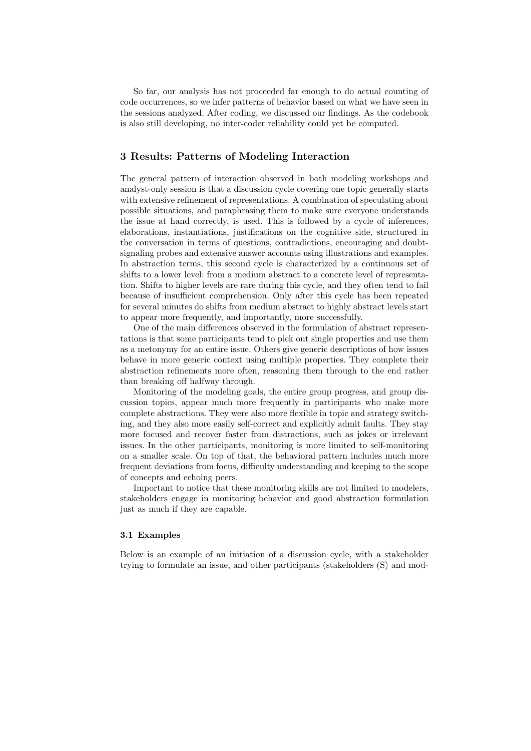So far, our analysis has not proceeded far enough to do actual counting of code occurrences, so we infer patterns of behavior based on what we have seen in the sessions analyzed. After coding, we discussed our findings. As the codebook is also still developing, no inter-coder reliability could yet be computed.

## 3 Results: Patterns of Modeling Interaction

The general pattern of interaction observed in both modeling workshops and analyst-only session is that a discussion cycle covering one topic generally starts with extensive refinement of representations. A combination of speculating about possible situations, and paraphrasing them to make sure everyone understands the issue at hand correctly, is used. This is followed by a cycle of inferences, elaborations, instantiations, justifications on the cognitive side, structured in the conversation in terms of questions, contradictions, encouraging and doubtsignaling probes and extensive answer accounts using illustrations and examples. In abstraction terms, this second cycle is characterized by a continuous set of shifts to a lower level: from a medium abstract to a concrete level of representation. Shifts to higher levels are rare during this cycle, and they often tend to fail because of insufficient comprehension. Only after this cycle has been repeated for several minutes do shifts from medium abstract to highly abstract levels start to appear more frequently, and importantly, more successfully.

One of the main differences observed in the formulation of abstract representations is that some participants tend to pick out single properties and use them as a metonymy for an entire issue. Others give generic descriptions of how issues behave in more generic context using multiple properties. They complete their abstraction refinements more often, reasoning them through to the end rather than breaking off halfway through.

Monitoring of the modeling goals, the entire group progress, and group discussion topics, appear much more frequently in participants who make more complete abstractions. They were also more flexible in topic and strategy switching, and they also more easily self-correct and explicitly admit faults. They stay more focused and recover faster from distractions, such as jokes or irrelevant issues. In the other participants, monitoring is more limited to self-monitoring on a smaller scale. On top of that, the behavioral pattern includes much more frequent deviations from focus, difficulty understanding and keeping to the scope of concepts and echoing peers.

Important to notice that these monitoring skills are not limited to modelers, stakeholders engage in monitoring behavior and good abstraction formulation just as much if they are capable.

## 3.1 Examples

Below is an example of an initiation of a discussion cycle, with a stakeholder trying to formulate an issue, and other participants (stakeholders (S) and mod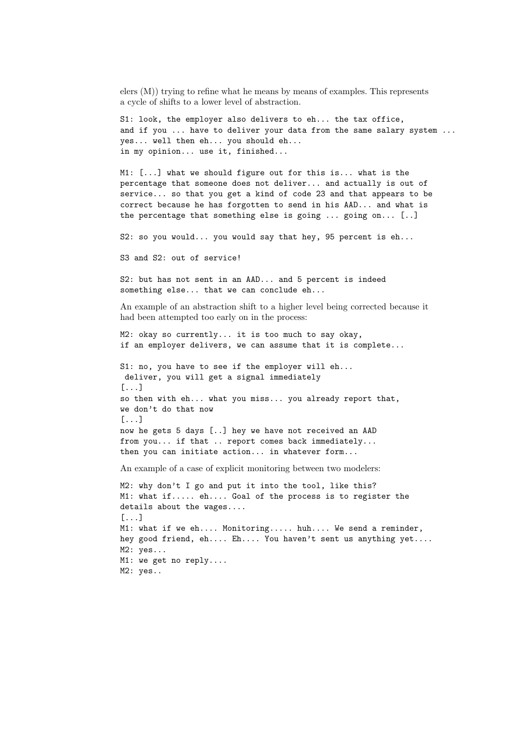elers (M)) trying to refine what he means by means of examples. This represents a cycle of shifts to a lower level of abstraction.

S1: look, the employer also delivers to eh... the tax office, and if you ... have to deliver your data from the same salary system ... yes... well then eh... you should eh... in my opinion... use it, finished...

M1: [...] what we should figure out for this is... what is the percentage that someone does not deliver... and actually is out of service... so that you get a kind of code 23 and that appears to be correct because he has forgotten to send in his AAD... and what is the percentage that something else is going ... going on... [..]

S2: so you would... you would say that hey, 95 percent is eh...

S3 and S2: out of service!

S2: but has not sent in an AAD... and 5 percent is indeed something else... that we can conclude eh...

An example of an abstraction shift to a higher level being corrected because it had been attempted too early on in the process:

M2: okay so currently... it is too much to say okay, if an employer delivers, we can assume that it is complete...

S1: no, you have to see if the employer will eh... deliver, you will get a signal immediately [...] so then with eh... what you miss... you already report that, we don't do that now [...] now he gets 5 days [..] hey we have not received an AAD from you... if that .. report comes back immediately... then you can initiate action... in whatever form...

An example of a case of explicit monitoring between two modelers:

M2: why don't I go and put it into the tool, like this? M1: what if..... eh.... Goal of the process is to register the details about the wages.... [...] M1: what if we eh.... Monitoring..... huh.... We send a reminder, hey good friend, eh.... Eh.... You haven't sent us anything yet.... M2: yes... M1: we get no reply.... M2: yes..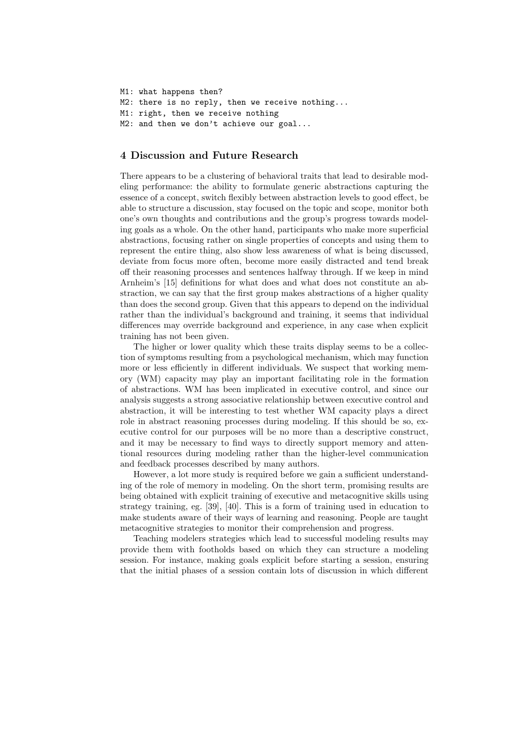M1: what happens then? M2: there is no reply, then we receive nothing... M1: right, then we receive nothing M2: and then we don't achieve our goal...

# 4 Discussion and Future Research

There appears to be a clustering of behavioral traits that lead to desirable modeling performance: the ability to formulate generic abstractions capturing the essence of a concept, switch flexibly between abstraction levels to good effect, be able to structure a discussion, stay focused on the topic and scope, monitor both one's own thoughts and contributions and the group's progress towards modeling goals as a whole. On the other hand, participants who make more superficial abstractions, focusing rather on single properties of concepts and using them to represent the entire thing, also show less awareness of what is being discussed, deviate from focus more often, become more easily distracted and tend break off their reasoning processes and sentences halfway through. If we keep in mind Arnheim's [15] definitions for what does and what does not constitute an abstraction, we can say that the first group makes abstractions of a higher quality than does the second group. Given that this appears to depend on the individual rather than the individual's background and training, it seems that individual differences may override background and experience, in any case when explicit training has not been given.

The higher or lower quality which these traits display seems to be a collection of symptoms resulting from a psychological mechanism, which may function more or less efficiently in different individuals. We suspect that working memory (WM) capacity may play an important facilitating role in the formation of abstractions. WM has been implicated in executive control, and since our analysis suggests a strong associative relationship between executive control and abstraction, it will be interesting to test whether WM capacity plays a direct role in abstract reasoning processes during modeling. If this should be so, executive control for our purposes will be no more than a descriptive construct, and it may be necessary to find ways to directly support memory and attentional resources during modeling rather than the higher-level communication and feedback processes described by many authors.

However, a lot more study is required before we gain a sufficient understanding of the role of memory in modeling. On the short term, promising results are being obtained with explicit training of executive and metacognitive skills using strategy training, eg. [39], [40]. This is a form of training used in education to make students aware of their ways of learning and reasoning. People are taught metacognitive strategies to monitor their comprehension and progress.

Teaching modelers strategies which lead to successful modeling results may provide them with footholds based on which they can structure a modeling session. For instance, making goals explicit before starting a session, ensuring that the initial phases of a session contain lots of discussion in which different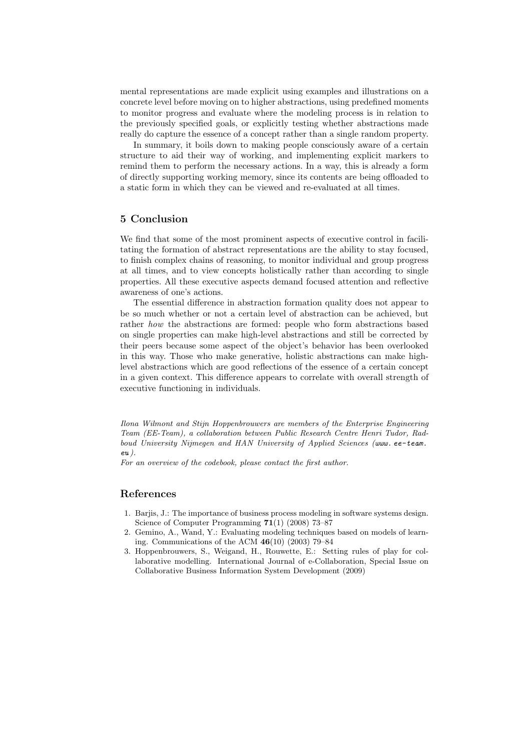mental representations are made explicit using examples and illustrations on a concrete level before moving on to higher abstractions, using predefined moments to monitor progress and evaluate where the modeling process is in relation to the previously specified goals, or explicitly testing whether abstractions made really do capture the essence of a concept rather than a single random property.

In summary, it boils down to making people consciously aware of a certain structure to aid their way of working, and implementing explicit markers to remind them to perform the necessary actions. In a way, this is already a form of directly supporting working memory, since its contents are being offloaded to a static form in which they can be viewed and re-evaluated at all times.

# 5 Conclusion

We find that some of the most prominent aspects of executive control in facilitating the formation of abstract representations are the ability to stay focused, to finish complex chains of reasoning, to monitor individual and group progress at all times, and to view concepts holistically rather than according to single properties. All these executive aspects demand focused attention and reflective awareness of one's actions.

The essential difference in abstraction formation quality does not appear to be so much whether or not a certain level of abstraction can be achieved, but rather how the abstractions are formed: people who form abstractions based on single properties can make high-level abstractions and still be corrected by their peers because some aspect of the object's behavior has been overlooked in this way. Those who make generative, holistic abstractions can make highlevel abstractions which are good reflections of the essence of a certain concept in a given context. This difference appears to correlate with overall strength of executive functioning in individuals.

Ilona Wilmont and Stijn Hoppenbrouwers are members of the Enterprise Engineering Team (EE-Team), a collaboration between Public Research Centre Henri Tudor, Radboud University Nijmegen and HAN University of Applied Sciences (www. ee-team. eu ).

For an overview of the codebook, please contact the first author.

# References

- 1. Barjis, J.: The importance of business process modeling in software systems design. Science of Computer Programming 71(1) (2008) 73–87
- 2. Gemino, A., Wand, Y.: Evaluating modeling techniques based on models of learning. Communications of the ACM  $46(10)$  (2003) 79–84
- 3. Hoppenbrouwers, S., Weigand, H., Rouwette, E.: Setting rules of play for collaborative modelling. International Journal of e-Collaboration, Special Issue on Collaborative Business Information System Development (2009)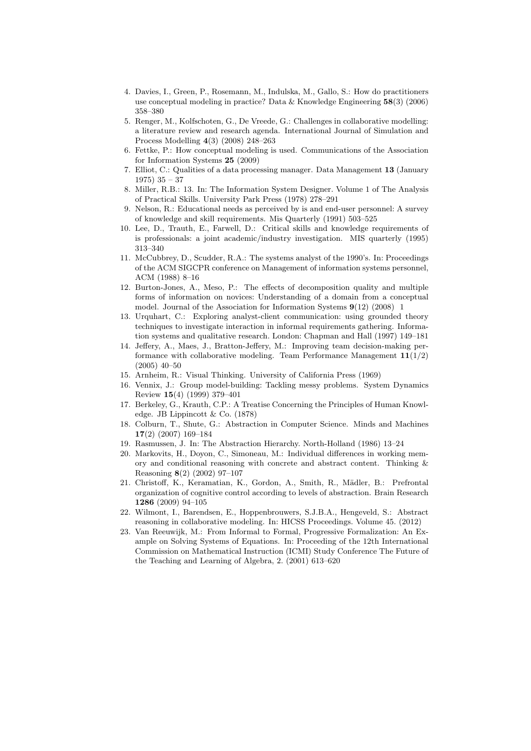- 4. Davies, I., Green, P., Rosemann, M., Indulska, M., Gallo, S.: How do practitioners use conceptual modeling in practice? Data & Knowledge Engineering 58(3) (2006) 358–380
- 5. Renger, M., Kolfschoten, G., De Vreede, G.: Challenges in collaborative modelling: a literature review and research agenda. International Journal of Simulation and Process Modelling 4(3) (2008) 248–263
- 6. Fettke, P.: How conceptual modeling is used. Communications of the Association for Information Systems 25 (2009)
- 7. Elliot, C.: Qualities of a data processing manager. Data Management 13 (January 1975) 35 – 37
- 8. Miller, R.B.: 13. In: The Information System Designer. Volume 1 of The Analysis of Practical Skills. University Park Press (1978) 278–291
- 9. Nelson, R.: Educational needs as perceived by is and end-user personnel: A survey of knowledge and skill requirements. Mis Quarterly (1991) 503–525
- 10. Lee, D., Trauth, E., Farwell, D.: Critical skills and knowledge requirements of is professionals: a joint academic/industry investigation. MIS quarterly (1995) 313–340
- 11. McCubbrey, D., Scudder, R.A.: The systems analyst of the 1990's. In: Proceedings of the ACM SIGCPR conference on Management of information systems personnel, ACM (1988) 8–16
- 12. Burton-Jones, A., Meso, P.: The effects of decomposition quality and multiple forms of information on novices: Understanding of a domain from a conceptual model. Journal of the Association for Information Systems 9(12) (2008) 1
- 13. Urquhart, C.: Exploring analyst-client communication: using grounded theory techniques to investigate interaction in informal requirements gathering. Information systems and qualitative research. London: Chapman and Hall (1997) 149–181
- 14. Jeffery, A., Maes, J., Bratton-Jeffery, M.: Improving team decision-making performance with collaborative modeling. Team Performance Management  $11(1/2)$ (2005) 40–50
- 15. Arnheim, R.: Visual Thinking. University of California Press (1969)
- 16. Vennix, J.: Group model-building: Tackling messy problems. System Dynamics Review 15(4) (1999) 379–401
- 17. Berkeley, G., Krauth, C.P.: A Treatise Concerning the Principles of Human Knowledge. JB Lippincott & Co. (1878)
- 18. Colburn, T., Shute, G.: Abstraction in Computer Science. Minds and Machines 17(2) (2007) 169–184
- 19. Rasmussen, J. In: The Abstraction Hierarchy. North-Holland (1986) 13–24
- 20. Markovits, H., Doyon, C., Simoneau, M.: Individual differences in working memory and conditional reasoning with concrete and abstract content. Thinking & Reasoning 8(2) (2002) 97–107
- 21. Christoff, K., Keramatian, K., Gordon, A., Smith, R., Mädler, B.: Prefrontal organization of cognitive control according to levels of abstraction. Brain Research 1286 (2009) 94–105
- 22. Wilmont, I., Barendsen, E., Hoppenbrouwers, S.J.B.A., Hengeveld, S.: Abstract reasoning in collaborative modeling. In: HICSS Proceedings. Volume 45. (2012)
- 23. Van Reeuwijk, M.: From Informal to Formal, Progressive Formalization: An Example on Solving Systems of Equations. In: Proceeding of the 12th International Commission on Mathematical Instruction (ICMI) Study Conference The Future of the Teaching and Learning of Algebra, 2. (2001) 613–620